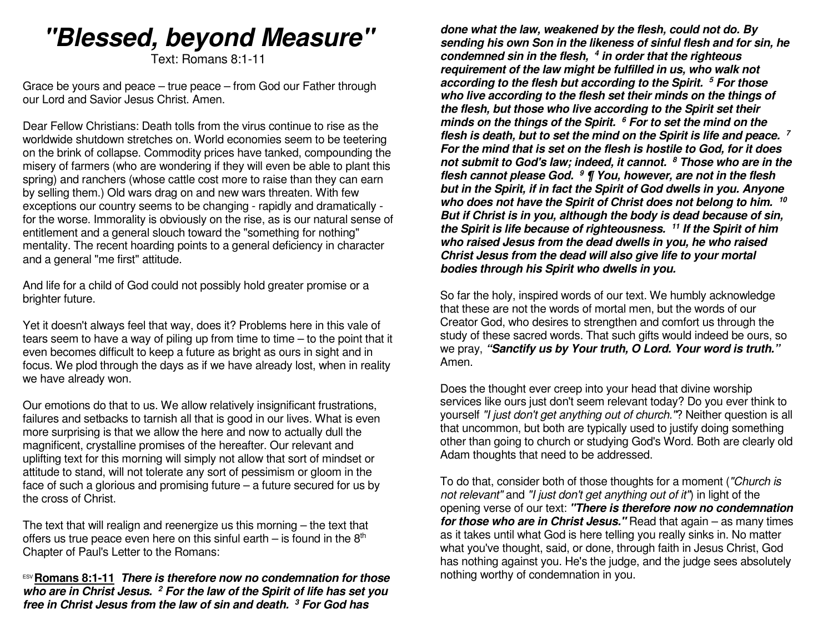# **"Blessed, beyond Measure"**

Text: Romans 8:1-11

Grace be yours and peace – true peace – from God our Father through our Lord and Savior Jesus Christ. Amen.

Dear Fellow Christians: Death tolls from the virus continue to rise as the worldwide shutdown stretches on. World economies seem to be teetering on the brink of collapse. Commodity prices have tanked, compounding the misery of farmers (who are wondering if they will even be able to plant this spring) and ranchers (whose cattle cost more to raise than they can earn by selling them.) Old wars drag on and new wars threaten. With few exceptions our country seems to be changing - rapidly and dramatically for the worse. Immorality is obviously on the rise, as is our natural sense of entitlement and a general slouch toward the "something for nothing" mentality. The recent hoarding points to a general deficiency in character and a general "me first" attitude.

And life for a child of God could not possibly hold greater promise or a brighter future.

Yet it doesn't always feel that way, does it? Problems here in this vale of tears seem to have a way of piling up from time to time – to the point that it even becomes difficult to keep a future as bright as ours in sight and in focus. We plod through the days as if we have already lost, when in reality we have already won.

Our emotions do that to us. We allow relatively insignificant frustrations, failures and setbacks to tarnish all that is good in our lives. What is even more surprising is that we allow the here and now to actually dull the magnificent, crystalline promises of the hereafter. Our relevant and uplifting text for this morning will simply not allow that sort of mindset or attitude to stand, will not tolerate any sort of pessimism or gloom in the face of such a glorious and promising future – a future secured for us by the cross of Christ.

The text that will realign and reenergize us this morning – the text that offers us true peace even here on this sinful earth – is found in the  $8<sup>th</sup>$ Chapter of Paul's Letter to the Romans:

ESV **Romans 8:1-11 There is therefore now no condemnation for those who are in Christ Jesus. 2 For the law of the Spirit of life has set you free in Christ Jesus from the law of sin and death.3 For God has** 

**done what the law, weakened by the flesh, could not do. By sending his own Son in the likeness of sinful flesh and for sin, he condemned sin in the flesh, 4 in order that the righteous requirement of the law might be fulfilled in us, who walk not according to the flesh but according to the Spirit.<sup>5</sup> For those who live according to the flesh set their minds on the things of the flesh, but those who live according to the Spirit set their minds on the things of the Spirit. <sup>6</sup> For to set the mind on the flesh is death, but to set the mind on the Spirit is life and peace. 7 For the mind that is set on the flesh is hostile to God, for it does not submit to God's law; indeed, it cannot. <sup>8</sup> Those who are in the flesh cannot please God. 9 ¶ You, however, are not in the flesh but in the Spirit, if in fact the Spirit of God dwells in you. Anyone who does not have the Spirit of Christ does not belong to him. <sup>10</sup> But if Christ is in you, although the body is dead because of sin, the Spirit is life because of righteousness. 11 If the Spirit of him who raised Jesus from the dead dwells in you, he who raised Christ Jesus from the dead will also give life to your mortal bodies through his Spirit who dwells in you.**

So far the holy, inspired words of our text. We humbly acknowledge that these are not the words of mortal men, but the words of our Creator God, who desires to strengthen and comfort us through the study of these sacred words. That such gifts would indeed be ours, so we pray, **"Sanctify us by Your truth, O Lord. Your word is truth."** Amen.

Does the thought ever creep into your head that divine worship services like ours just don't seem relevant today? Do you ever think to yourself "I just don't get anything out of church."? Neither question is all that uncommon, but both are typically used to justify doing something other than going to church or studying God's Word. Both are clearly old Adam thoughts that need to be addressed.

To do that, consider both of those thoughts for a moment ("Church is not relevant" and "I just don't get anything out of it") in light of the opening verse of our text: **"There is therefore now no condemnation for those who are in Christ Jesus."** Read that again – as many times as it takes until what God is here telling you really sinks in. No matter what you've thought, said, or done, through faith in Jesus Christ, God has nothing against you. He's the judge, and the judge sees absolutely nothing worthy of condemnation in you.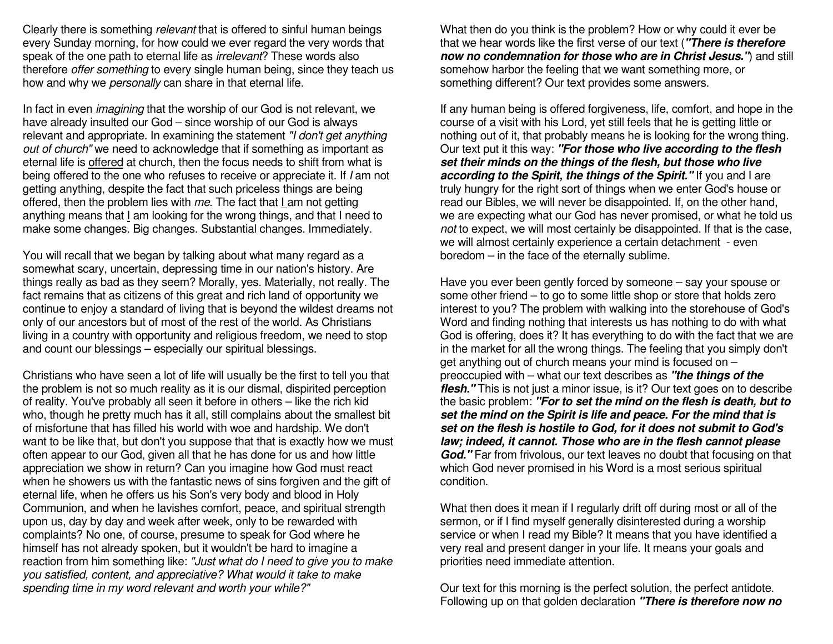Clearly there is something relevant that is offered to sinful human beings every Sunday morning, for how could we ever regard the very words that speak of the one path to eternal life as *irrelevant*? These words also therefore *offer something* to every single human being, since they teach us how and why we *personally* can share in that eternal life.

In fact in even *imagining* that the worship of our God is not relevant, we have already insulted our God – since worship of our God is always relevant and appropriate. In examining the statement "I don't get anything out of church" we need to acknowledge that if something as important as eternal life is offered at church, then the focus needs to shift from what is being offered to the one who refuses to receive or appreciate it. If I am not getting anything, despite the fact that such priceless things are being offered, then the problem lies with *me*. The fact that <u>I a</u>m not getting anything means that I am looking for the wrong things, and that I need to make some changes. Big changes. Substantial changes. Immediately.

You will recall that we began by talking about what many regard as a somewhat scary, uncertain, depressing time in our nation's history. Are things really as bad as they seem? Morally, yes. Materially, not really. The fact remains that as citizens of this great and rich land of opportunity we continue to enjoy a standard of living that is beyond the wildest dreams not only of our ancestors but of most of the rest of the world. As Christians living in a country with opportunity and religious freedom, we need to stop and count our blessings – especially our spiritual blessings.

Christians who have seen a lot of life will usually be the first to tell you that the problem is not so much reality as it is our dismal, dispirited perception of reality. You've probably all seen it before in others – like the rich kid who, though he pretty much has it all, still complains about the smallest bit of misfortune that has filled his world with woe and hardship. We don't want to be like that, but don't you suppose that that is exactly how we must often appear to our God, given all that he has done for us and how little appreciation we show in return? Can you imagine how God must react when he showers us with the fantastic news of sins forgiven and the gift of eternal life, when he offers us his Son's very body and blood in Holy Communion, and when he lavishes comfort, peace, and spiritual strength upon us, day by day and week after week, only to be rewarded with complaints? No one, of course, presume to speak for God where he himself has not already spoken, but it wouldn't be hard to imagine a reaction from him something like: "Just what do I need to give you to make you satisfied, content, and appreciative? What would it take to make spending time in my word relevant and worth your while?"

What then do you think is the problem? How or why could it ever be that we hear words like the first verse of our text (**"There is therefore now no condemnation for those who are in Christ Jesus."**) and still somehow harbor the feeling that we want something more, or something different? Our text provides some answers.

If any human being is offered forgiveness, life, comfort, and hope in the course of a visit with his Lord, yet still feels that he is getting little or nothing out of it, that probably means he is looking for the wrong thing. Our text put it this way: **"For those who live according to the flesh set their minds on the things of the flesh, but those who live according to the Spirit, the things of the Spirit."** If you and I are truly hungry for the right sort of things when we enter God's house or read our Bibles, we will never be disappointed. If, on the other hand, we are expecting what our God has never promised, or what he told us not to expect, we will most certainly be disappointed. If that is the case, we will almost certainly experience a certain detachment - even boredom – in the face of the eternally sublime.

Have you ever been gently forced by someone – say your spouse or some other friend – to go to some little shop or store that holds zero interest to you? The problem with walking into the storehouse of God's Word and finding nothing that interests us has nothing to do with what God is offering, does it? It has everything to do with the fact that we are in the market for all the wrong things. The feeling that you simply don't get anything out of church means your mind is focused on – preoccupied with – what our text describes as **"the things of the flesh."** This is not just a minor issue, is it? Our text goes on to describe the basic problem: **"For to set the mind on the flesh is death, but to set the mind on the Spirit is life and peace. For the mind that is set on the flesh is hostile to God, for it does not submit to God's law; indeed, it cannot. Those who are in the flesh cannot please God."** Far from frivolous, our text leaves no doubt that focusing on that which God never promised in his Word is a most serious spiritual condition.

What then does it mean if I regularly drift off during most or all of the sermon, or if I find myself generally disinterested during a worship service or when I read my Bible? It means that you have identified a very real and present danger in your life. It means your goals and priorities need immediate attention.

Our text for this morning is the perfect solution, the perfect antidote. Following up on that golden declaration **"There is therefore now no**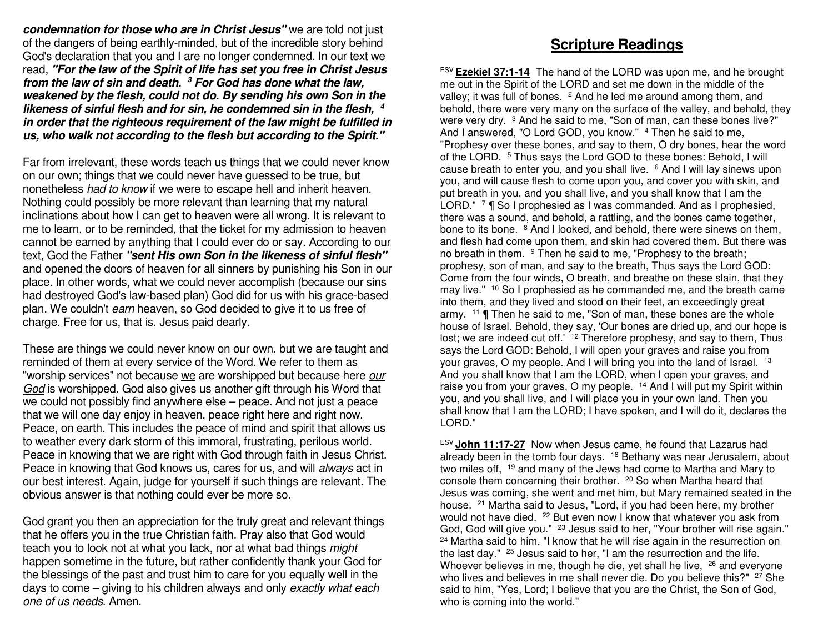**condemnation for those who are in Christ Jesus"** we are told not just of the dangers of being earthly-minded, but of the incredible story behind God's declaration that you and I are no longer condemned. In our text we read, **"For the law of the Spirit of life has set you free in Christ Jesus from the law of sin and death. 3 For God has done what the law, weakened by the flesh, could not do. By sending his own Son in the likeness of sinful flesh and for sin, he condemned sin in the flesh, in order that the righteous requirement of the law might be fulfilled in 4us, who walk not according to the flesh but according to the Spirit."**

Far from irrelevant, these words teach us things that we could never know on our own; things that we could never have guessed to be true, but nonetheless had to know if we were to escape hell and inherit heaven. Nothing could possibly be more relevant than learning that my natural inclinations about how I can get to heaven were all wrong. It is relevant to me to learn, or to be reminded, that the ticket for my admission to heaven cannot be earned by anything that I could ever do or say. According to our text, God the Father **"sent His own Son in the likeness of sinful flesh"** and opened the doors of heaven for all sinners by punishing his Son in our place. In other words, what we could never accomplish (because our sins had destroyed God's law-based plan) God did for us with his grace-based plan. We couldn't earn heaven, so God decided to give it to us free of charge. Free for us, that is. Jesus paid dearly.

These are things we could never know on our own, but we are taught and reminded of them at every service of the Word. We refer to them as "worship services" not because we are worshipped but because here our God is worshipped. God also gives us another gift through his Word that we could not possibly find anywhere else – peace. And not just a peace that we will one day enjoy in heaven, peace right here and right now. Peace, on earth. This includes the peace of mind and spirit that allows us to weather every dark storm of this immoral, frustrating, perilous world. Peace in knowing that we are right with God through faith in Jesus Christ. Peace in knowing that God knows us, cares for us, and will always act in our best interest. Again, judge for yourself if such things are relevant. The obvious answer is that nothing could ever be more so.

God grant you then an appreciation for the truly great and relevant things that he offers you in the true Christian faith. Pray also that God would teach you to look not at what you lack, nor at what bad things *might*  happen sometime in the future, but rather confidently thank your God for the blessings of the past and trust him to care for you equally well in the days to come – giving to his children always and only exactly what each one of us needs. Amen.

### **Scripture Readings**

ESV **Ezekiel 37:1-14** The hand of the LORD was upon me, and he brought me out in the Spirit of the LORD and set me down in the middle of the valley; it was full of bones. <sup>2</sup> And he led me around among them, and behold, there were very many on the surface of the valley, and behold, they were very dry. <sup>3</sup> And he said to me, "Son of man, can these bones live?" And I answered, "O Lord GOD, you know." <sup>4</sup> Then he said to me, "Prophesy over these bones, and say to them, O dry bones, hear the word of the LORD. 5 Thus says the Lord GOD to these bones: Behold, I will cause breath to enter you, and you shall live. <sup>6</sup> And I will lay sinews upon you, and will cause flesh to come upon you, and cover you with skin, and put breath in you, and you shall live, and you shall know that I am the LORD." <sup>7</sup> ¶ So I prophesied as I was commanded. And as I prophesied, there was a sound, and behold, a rattling, and the bones came together, bone to its bone. <sup>8</sup> And I looked, and behold, there were sinews on them, and flesh had come upon them, and skin had covered them. But there was no breath in them. <sup>9</sup> Then he said to me, "Prophesy to the breath; prophesy, son of man, and say to the breath, Thus says the Lord GOD: Come from the four winds, O breath, and breathe on these slain, that they may live." <sup>10</sup> So I prophesied as he commanded me, and the breath came into them, and they lived and stood on their feet, an exceedingly great army. <sup>11</sup> ¶ Then he said to me, "Son of man, these bones are the whole house of Israel. Behold, they say, 'Our bones are dried up, and our hope is lost; we are indeed cut off.' <sup>12</sup> Therefore prophesy, and say to them, Thus says the Lord GOD: Behold, I will open your graves and raise you from your graves, O my people. And I will bring you into the land of Israel. <sup>13</sup> And you shall know that I am the LORD, when I open your graves, and raise you from your graves, O my people. <sup>14</sup> And I will put my Spirit within you, and you shall live, and I will place you in your own land. Then you shall know that I am the LORD; I have spoken, and I will do it, declares the LORD."

ESV **John 11:17-27** Now when Jesus came, he found that Lazarus had already been in the tomb four days. <sup>18</sup> Bethany was near Jerusalem, about two miles off, 19 and many of the Jews had come to Martha and Mary to console them concerning their brother. 20 So when Martha heard that Jesus was coming, she went and met him, but Mary remained seated in the house. 21 Martha said to Jesus, "Lord, if you had been here, my brother would not have died. <sup>22</sup> But even now I know that whatever you ask from God, God will give you." <sup>23</sup> Jesus said to her, "Your brother will rise again." <sup>24</sup> Martha said to him, "I know that he will rise again in the resurrection on the last day." 25 Jesus said to her, "I am the resurrection and the life. Whoever believes in me, though he die, yet shall he live, <sup>26</sup> and everyone who lives and believes in me shall never die. Do you believe this?" <sup>27</sup> She said to him, "Yes, Lord; I believe that you are the Christ, the Son of God, who is coming into the world."